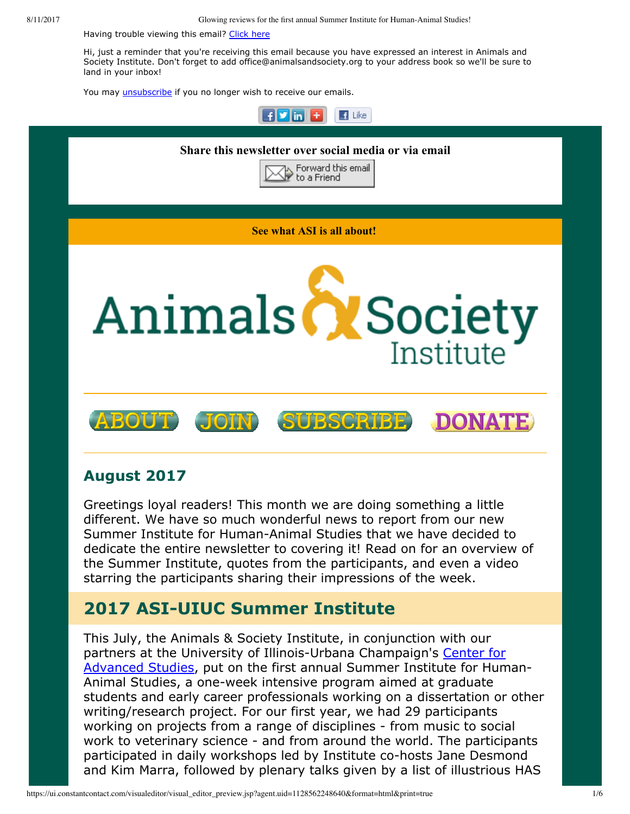8/11/2017 Glowing reviews for the first annual Summer Institute for Human-Animal Studies!

Having trouble viewing this email? [Click](http://campaign.r20.constantcontact.com/render?ca=eec6b577-de11-417a-a3c4-ec0bf78e5e2a&preview=true&m=1117082078075&id=preview) here

Hi, just a reminder that you're receiving this email because you have expressed an interest in Animals and Society Institute. Don't forget to add office@animalsandsociety.org to your address book so we'll be sure to land in your inbox!

You may *[unsubscribe](https://visitor.constantcontact.com/do?p=un&mse=0016u8cGCOk4ijLe6EYFlbq8UmlFeKV0nFU&t=001mYeyWv_dvHWCgwGuU1DMuA%3D%3D&id=001b-xBWU3VMkcM8dYr8taaWXSJRe02Iknl&llr=88spulqab)* if you no longer wish to receive our emails.



#### **August 2017**

Greetings loyal readers! This month we are doing something a little different. We have so much wonderful news to report from our new Summer Institute for Human-Animal Studies that we have decided to dedicate the entire newsletter to covering it! Read on for an overview of the Summer Institute, quotes from the participants, and even a video starring the participants sharing their impressions of the week.

## **2017 ASI-UIUC Summer Institute**

This July, the Animals & Society Institute, in conjunction with our partners at the University of Illinois-Urbana Champaign's Center for Advanced Studies, put on the first annual Summer Institute for Human-Animal Studies, a one-week intensive program aimed at graduate students and early career professionals working on a dissertation or other writing/research project. For our first year, we had 29 participants working on projects from a range of disciplines - from music to social work to veterinary science - and from around the world. The participants participated in daily workshops led by Institute co-hosts Jane Desmond and Kim Marra, followed by plenary talks given by a list of illustrious HAS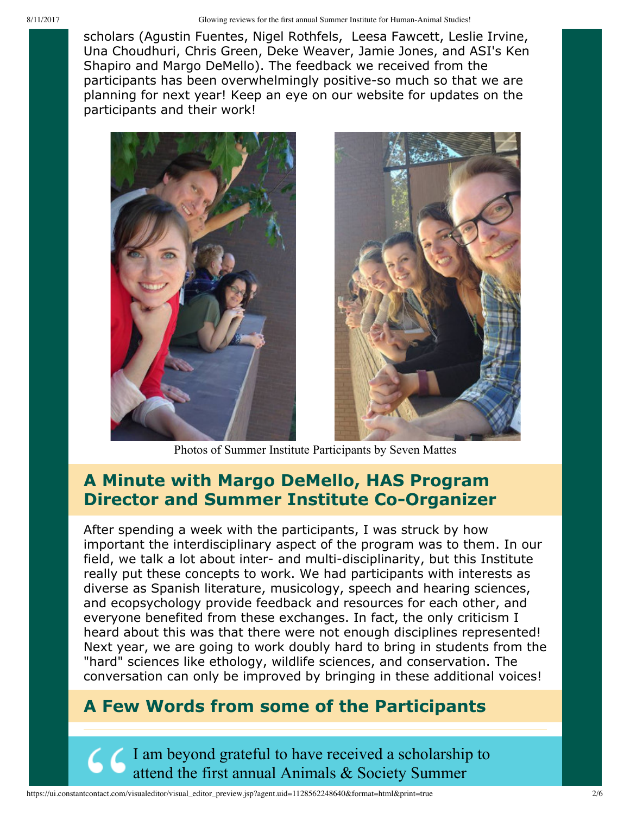scholars (Agustin Fuentes, Nigel Rothfels, Leesa Fawcett, Leslie Irvine, Una Choudhuri, Chris Green, Deke Weaver, Jamie Jones, and ASI's Ken Shapiro and Margo DeMello). The feedback we received from the participants has been overwhelmingly positive-so much so that we are planning for next year! Keep an eye on our website for updates on the participants and their work!





Photos of Summer Institute Participants by Seven Mattes

### **A Minute with Margo DeMello, HAS Program Director and Summer Institute Co-Organizer**

After spending a week with the participants, I was struck by how important the interdisciplinary aspect of the program was to them. In our field, we talk a lot about inter- and multi-disciplinarity, but this Institute really put these concepts to work. We had participants with interests as diverse as Spanish literature, musicology, speech and hearing sciences, and ecopsychology provide feedback and resources for each other, and everyone benefited from these exchanges. In fact, the only criticism I heard about this was that there were not enough disciplines represented! Next year, we are going to work doubly hard to bring in students from the "hard" sciences like ethology, wildlife sciences, and conservation. The conversation can only be improved by bringing in these additional voices!

### **A Few Words from some of the Participants**

I am beyond grateful to have received a scholarship to attend the first annual Animals & Society Summer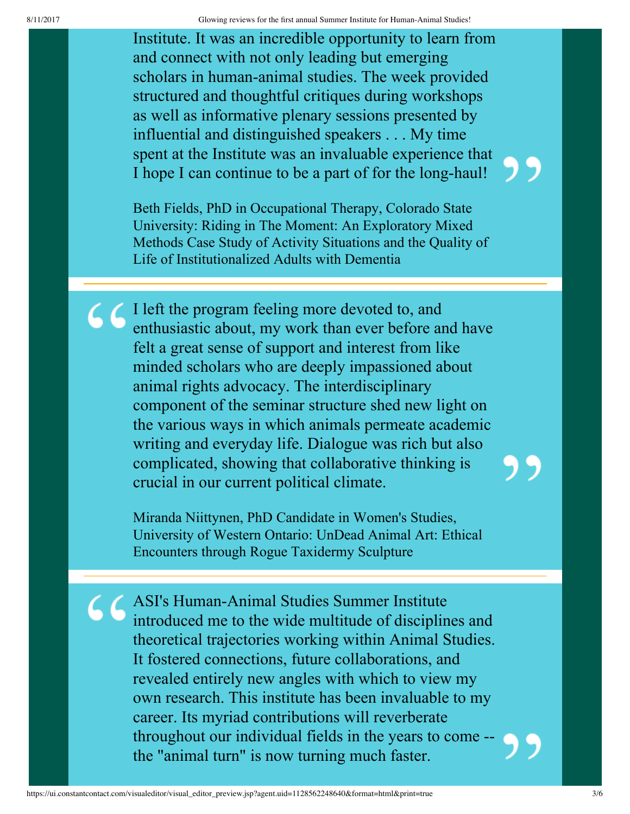8/11/2017 Glowing reviews for the first annual Summer Institute for Human-Animal Studies!

Institute. It was an incredible opportunity to learn from and connect with not only leading but emerging scholars in human-animal studies. The week provided structured and thoughtful critiques during workshops as well as informative plenary sessions presented by influential and distinguished speakers . . . My time spent at the Institute was an invaluable experience that I hope I can continue to be a part of for the long-haul!

Beth Fields, PhD in Occupational Therapy, Colorado State University: Riding in The Moment: An Exploratory Mixed Methods Case Study of Activity Situations and the Quality of Life of Institutionalized Adults with Dementia

I left the program feeling more devoted to, and enthusiastic about, my work than ever before and have felt a great sense of support and interest from like minded scholars who are deeply impassioned about animal rights advocacy. The interdisciplinary component of the seminar structure shed new light on the various ways in which animals permeate academic writing and everyday life. Dialogue was rich but also complicated, showing that collaborative thinking is crucial in our current political climate.

> Miranda Niittynen, PhD Candidate in Women's Studies, University of Western Ontario: UnDead Animal Art: Ethical Encounters through Rogue Taxidermy Sculpture

ASI's Human-Animal Studies Summer Institute introduced me to the wide multitude of disciplines and theoretical trajectories working within Animal Studies. It fostered connections, future collaborations, and revealed entirely new angles with which to view my own research. This institute has been invaluable to my career. Its myriad contributions will reverberate throughout our individual fields in the years to come the "animal turn" is now turning much faster.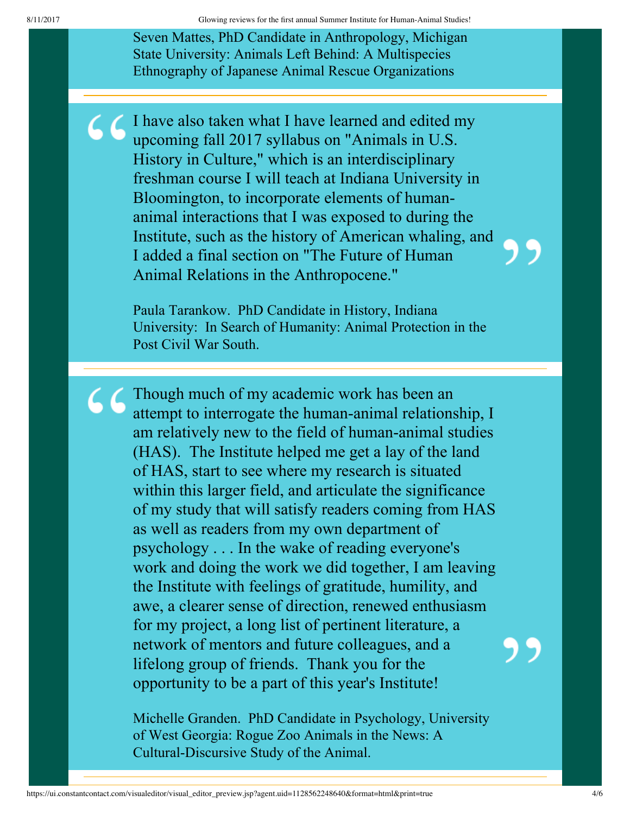Seven Mattes, PhD Candidate in Anthropology, Michigan State University: Animals Left Behind: A Multispecies Ethnography of Japanese Animal Rescue Organizations

I have also taken what I have learned and edited my upcoming fall 2017 syllabus on "Animals in U.S. History in Culture," which is an interdisciplinary freshman course I will teach at Indiana University in Bloomington, to incorporate elements of humananimal interactions that I was exposed to during the Institute, such as the history of American whaling, and I added a final section on "The Future of Human Animal Relations in the Anthropocene."

> Paula Tarankow. PhD Candidate in History, Indiana University: In Search of Humanity: Animal Protection in the Post Civil War South.

**66** Though much of my academic work has been an attempt to interrogate the human-animal relationship, I am relatively new to the field of human-animal studies (HAS). The Institute helped me get a lay of the land of HAS, start to see where my research is situated within this larger field, and articulate the significance of my study that will satisfy readers coming from HAS as well as readers from my own department of psychology . . . In the wake of reading everyone's work and doing the work we did together, I am leaving the Institute with feelings of gratitude, humility, and awe, a clearer sense of direction, renewed enthusiasm for my project, a long list of pertinent literature, a network of mentors and future colleagues, and a lifelong group of friends. Thank you for the opportunity to be a part of this year's Institute!

> Michelle Granden. PhD Candidate in Psychology, University of West Georgia: Rogue Zoo Animals in the News: A Cultural-Discursive Study of the Animal.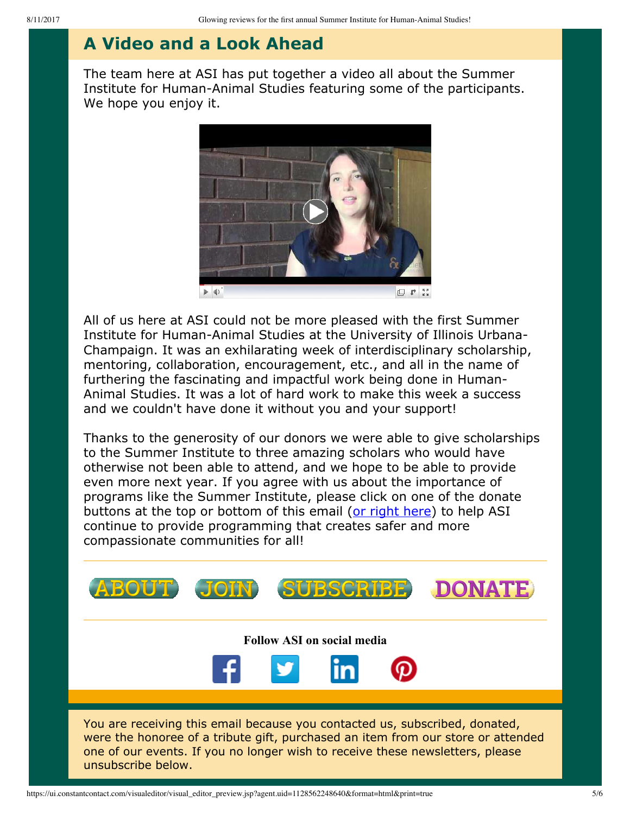# **A Video and a Look Ahead**

The team here at ASI has put together a video all about the Summer Institute for Human-Animal Studies featuring some of the participants. We hope you enjoy it.



All of us here at ASI could not be more pleased with the first Summer Institute for Human-Animal Studies at the University of Illinois Urbana-Champaign. It was an exhilarating week of interdisciplinary scholarship, mentoring, collaboration, encouragement, etc., and all in the name of furthering the fascinating and impactful work being done in Human-Animal Studies. It was a lot of hard work to make this week a success and we couldn't have done it without you and your support!

Thanks to the generosity of our donors we were able to give scholarships to the Summer Institute to three amazing scholars who would have otherwise not been able to attend, and we hope to be able to provide even more next year. If you agree with us about the importance of programs like the Summer Institute, please click on one of the donate buttons at the top or bottom of this email ([or right here](https://www.givedirect.org/donate/index.php?cid=13367)) to help ASI continue to provide programming that creates safer and more compassionate communities for all!



https://ui.constantcontact.com/visualeditor/visual\_editor\_preview.jsp?agent.uid=1128562248640&format=html&print=true 5/6